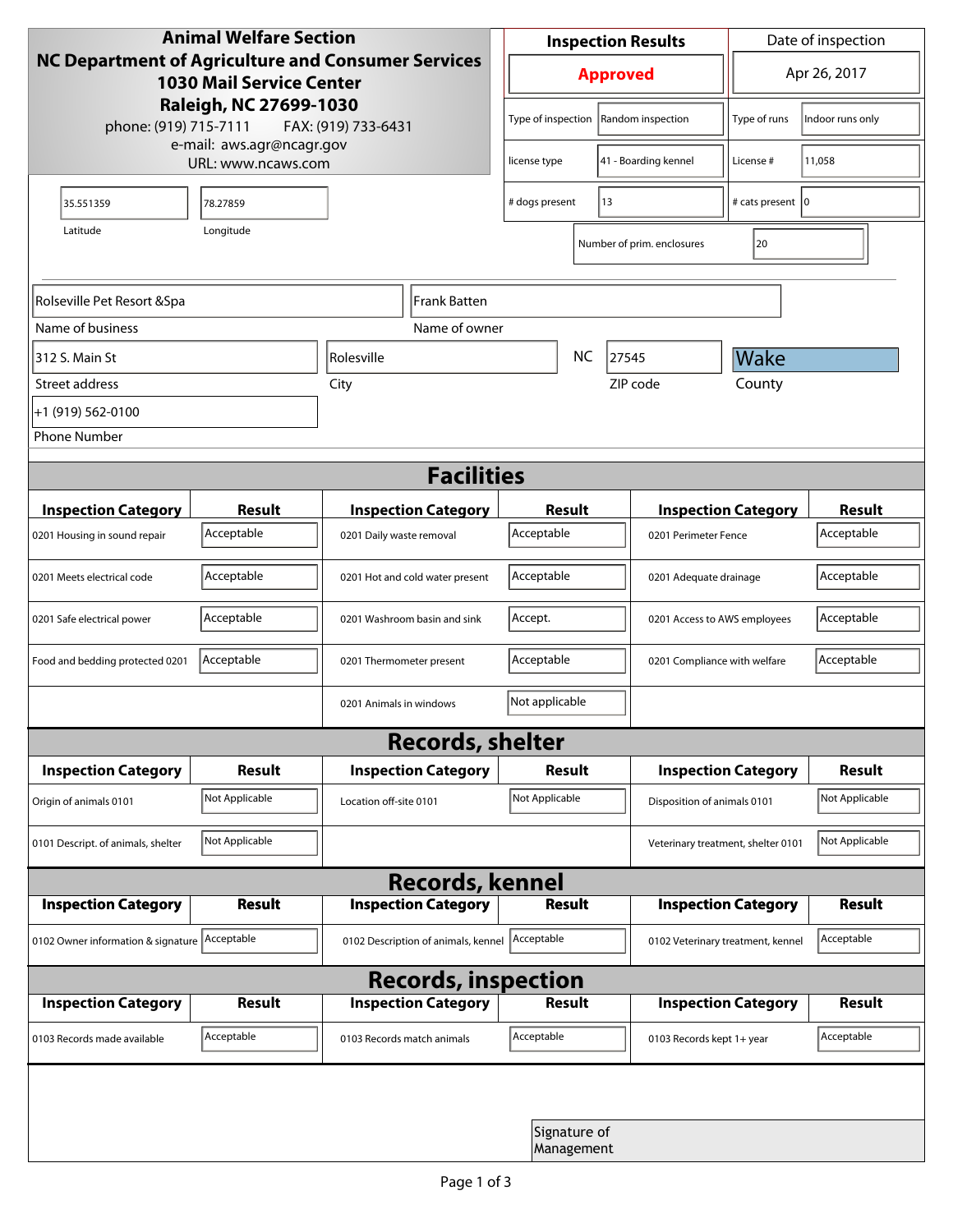| <b>Animal Welfare Section</b><br><b>NC Department of Agriculture and Consumer Services</b><br><b>1030 Mail Service Center</b> |                                                     |                                     | <b>Inspection Results</b>                  |                            |                                    | Date of inspection         |                  |  |  |
|-------------------------------------------------------------------------------------------------------------------------------|-----------------------------------------------------|-------------------------------------|--------------------------------------------|----------------------------|------------------------------------|----------------------------|------------------|--|--|
|                                                                                                                               |                                                     |                                     | <b>Approved</b>                            |                            |                                    | Apr 26, 2017               |                  |  |  |
| phone: (919) 715-7111                                                                                                         | Raleigh, NC 27699-1030<br>e-mail: aws.agr@ncagr.gov | FAX: (919) 733-6431                 | Type of inspection                         |                            | Random inspection                  | Type of runs               | Indoor runs only |  |  |
|                                                                                                                               | URL: www.ncaws.com                                  | license type                        |                                            | 41 - Boarding kennel       | License #                          | 11,058                     |                  |  |  |
| 35.551359                                                                                                                     | 78.27859                                            |                                     | 13<br># dogs present                       |                            |                                    | # cats present   0         |                  |  |  |
| Latitude                                                                                                                      | Longitude                                           |                                     |                                            |                            | Number of prim. enclosures         | 20                         |                  |  |  |
| Rolseville Pet Resort & Spa<br>Frank Batten                                                                                   |                                                     |                                     |                                            |                            |                                    |                            |                  |  |  |
| Name of business                                                                                                              |                                                     | Name of owner                       |                                            |                            |                                    |                            |                  |  |  |
| 312 S. Main St                                                                                                                |                                                     | <i><b>Rolesville</b></i>            |                                            | NC                         | 27545                              | Wake                       |                  |  |  |
| Street address                                                                                                                |                                                     | City                                |                                            |                            | ZIP code                           | County                     |                  |  |  |
| +1 (919) 562-0100                                                                                                             |                                                     |                                     |                                            |                            |                                    |                            |                  |  |  |
| <b>Phone Number</b>                                                                                                           |                                                     |                                     |                                            |                            |                                    |                            |                  |  |  |
| <b>Facilities</b>                                                                                                             |                                                     |                                     |                                            |                            |                                    |                            |                  |  |  |
| <b>Inspection Category</b>                                                                                                    | <b>Result</b>                                       | <b>Inspection Category</b>          | <b>Result</b>                              |                            |                                    | <b>Inspection Category</b> | <b>Result</b>    |  |  |
| 0201 Housing in sound repair                                                                                                  | Acceptable                                          | 0201 Daily waste removal            | Acceptable                                 |                            | 0201 Perimeter Fence               |                            | Acceptable       |  |  |
| 0201 Meets electrical code                                                                                                    | Acceptable                                          | 0201 Hot and cold water present     | Acceptable                                 | 0201 Adequate drainage     |                                    |                            | Acceptable       |  |  |
| 0201 Safe electrical power                                                                                                    | Acceptable                                          | 0201 Washroom basin and sink        | Accept.<br>0201 Access to AWS employees    |                            |                                    | Acceptable                 |                  |  |  |
| Food and bedding protected 0201                                                                                               | Acceptable                                          | 0201 Thermometer present            | Acceptable<br>0201 Compliance with welfare |                            |                                    | Acceptable                 |                  |  |  |
|                                                                                                                               |                                                     | 0201 Animals in windows             | Not applicable                             |                            |                                    |                            |                  |  |  |
| <b>Records, shelter</b>                                                                                                       |                                                     |                                     |                                            |                            |                                    |                            |                  |  |  |
| <b>Inspection Category</b>                                                                                                    | <b>Result</b>                                       | <b>Inspection Category</b>          | Result                                     |                            |                                    | <b>Inspection Category</b> | <b>Result</b>    |  |  |
| Origin of animals 0101                                                                                                        | Not Applicable                                      | Location off-site 0101              | Not Applicable                             |                            | Disposition of animals 0101        |                            | Not Applicable   |  |  |
| 0101 Descript. of animals, shelter                                                                                            | Not Applicable                                      |                                     |                                            |                            | Veterinary treatment, shelter 0101 |                            | Not Applicable   |  |  |
| <b>Records, kennel</b>                                                                                                        |                                                     |                                     |                                            |                            |                                    |                            |                  |  |  |
| <b>Inspection Category</b>                                                                                                    | Result                                              | <b>Inspection Category</b>          | <b>Result</b>                              |                            |                                    | <b>Inspection Category</b> | Result           |  |  |
| 0102 Owner information & signature Acceptable                                                                                 |                                                     | 0102 Description of animals, kennel | Acceptable                                 |                            | 0102 Veterinary treatment, kennel  |                            | Acceptable       |  |  |
| <b>Records, inspection</b>                                                                                                    |                                                     |                                     |                                            |                            |                                    |                            |                  |  |  |
| <b>Inspection Category</b>                                                                                                    | <b>Result</b>                                       | <b>Inspection Category</b>          | <b>Result</b>                              |                            |                                    | <b>Inspection Category</b> | <b>Result</b>    |  |  |
| 0103 Records made available                                                                                                   | Acceptable                                          | 0103 Records match animals          | Acceptable                                 |                            | 0103 Records kept 1+ year          |                            | Acceptable       |  |  |
|                                                                                                                               |                                                     |                                     |                                            |                            |                                    |                            |                  |  |  |
|                                                                                                                               |                                                     |                                     |                                            | Signature of<br>Management |                                    |                            |                  |  |  |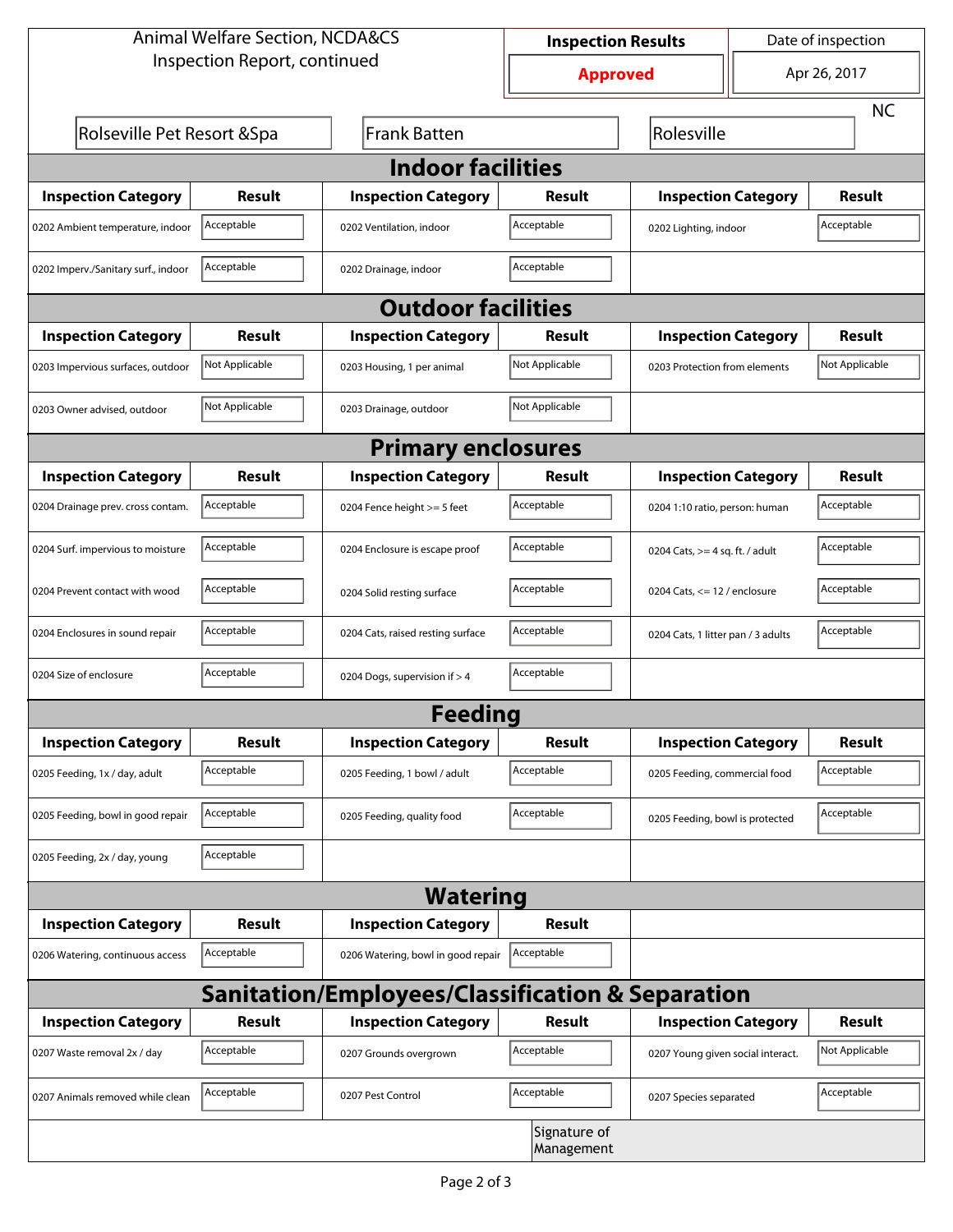| <b>Animal Welfare Section, NCDA&amp;CS</b> |                |                                                             | <b>Inspection Results</b>  |                                     | Date of inspection             |                |  |  |
|--------------------------------------------|----------------|-------------------------------------------------------------|----------------------------|-------------------------------------|--------------------------------|----------------|--|--|
| Inspection Report, continued               |                |                                                             | <b>Approved</b>            |                                     | Apr 26, 2017                   |                |  |  |
|                                            |                |                                                             |                            |                                     |                                | <b>NC</b>      |  |  |
| Rolseville Pet Resort & Spa                |                | Frank Batten                                                |                            | Rolesville                          |                                |                |  |  |
| <b>Indoor facilities</b>                   |                |                                                             |                            |                                     |                                |                |  |  |
| <b>Inspection Category</b>                 | Result         | <b>Inspection Category</b>                                  | Result                     | <b>Inspection Category</b>          |                                | Result         |  |  |
| 0202 Ambient temperature, indoor           | Acceptable     | 0202 Ventilation, indoor                                    | Acceptable                 | Acceptable<br>0202 Lighting, indoor |                                |                |  |  |
| 0202 Imperv./Sanitary surf., indoor        | Acceptable     | 0202 Drainage, indoor                                       | Acceptable                 |                                     |                                |                |  |  |
| <b>Outdoor facilities</b>                  |                |                                                             |                            |                                     |                                |                |  |  |
| <b>Inspection Category</b>                 | Result         | <b>Inspection Category</b>                                  | Result                     | <b>Inspection Category</b>          |                                | Result         |  |  |
| 0203 Impervious surfaces, outdoor          | Not Applicable | 0203 Housing, 1 per animal                                  | Not Applicable             | 0203 Protection from elements       |                                | Not Applicable |  |  |
| 0203 Owner advised, outdoor                | Not Applicable | 0203 Drainage, outdoor                                      | Not Applicable             |                                     |                                |                |  |  |
| <b>Primary enclosures</b>                  |                |                                                             |                            |                                     |                                |                |  |  |
| <b>Inspection Category</b>                 | Result         | <b>Inspection Category</b>                                  | Result                     | <b>Inspection Category</b>          |                                | Result         |  |  |
| 0204 Drainage prev. cross contam.          | Acceptable     | 0204 Fence height >= 5 feet                                 | Acceptable                 |                                     | 0204 1:10 ratio, person: human |                |  |  |
| 0204 Surf. impervious to moisture          | Acceptable     | 0204 Enclosure is escape proof                              | Acceptable                 | 0204 Cats, $>=$ 4 sq. ft. / adult   |                                | Acceptable     |  |  |
| 0204 Prevent contact with wood             | Acceptable     | 0204 Solid resting surface                                  | Acceptable                 | 0204 Cats, $<= 12$ / enclosure      |                                | Acceptable     |  |  |
| 0204 Enclosures in sound repair            | Acceptable     | 0204 Cats, raised resting surface                           | Acceptable                 | 0204 Cats, 1 litter pan / 3 adults  |                                | Acceptable     |  |  |
| 0204 Size of enclosure                     | Acceptable     | 0204 Dogs, supervision if > 4                               | Acceptable                 |                                     |                                |                |  |  |
|                                            |                | <b>Feeding</b>                                              |                            |                                     |                                |                |  |  |
| <b>Inspection Category</b>                 | <b>Result</b>  | <b>Inspection Category</b>                                  | Result                     | <b>Inspection Category</b>          |                                | <b>Result</b>  |  |  |
| 0205 Feeding, 1x / day, adult              | Acceptable     | 0205 Feeding, 1 bowl / adult                                | Acceptable                 | 0205 Feeding, commercial food       |                                | Acceptable     |  |  |
| 0205 Feeding, bowl in good repair          | Acceptable     | 0205 Feeding, quality food                                  | Acceptable                 | 0205 Feeding, bowl is protected     |                                | Acceptable     |  |  |
| 0205 Feeding, 2x / day, young              | Acceptable     |                                                             |                            |                                     |                                |                |  |  |
|                                            |                | <b>Watering</b>                                             |                            |                                     |                                |                |  |  |
| <b>Inspection Category</b>                 | <b>Result</b>  | <b>Inspection Category</b>                                  | Result                     |                                     |                                |                |  |  |
| 0206 Watering, continuous access           | Acceptable     | 0206 Watering, bowl in good repair                          | Acceptable                 |                                     |                                |                |  |  |
|                                            |                | <b>Sanitation/Employees/Classification &amp; Separation</b> |                            |                                     |                                |                |  |  |
| <b>Inspection Category</b>                 | <b>Result</b>  | <b>Inspection Category</b>                                  | Result                     | <b>Inspection Category</b>          |                                | <b>Result</b>  |  |  |
| 0207 Waste removal 2x / day                | Acceptable     | 0207 Grounds overgrown                                      | Acceptable                 | 0207 Young given social interact.   |                                | Not Applicable |  |  |
| 0207 Animals removed while clean           | Acceptable     | 0207 Pest Control                                           | Acceptable                 | 0207 Species separated              |                                | Acceptable     |  |  |
|                                            |                |                                                             | Signature of<br>Management |                                     |                                |                |  |  |